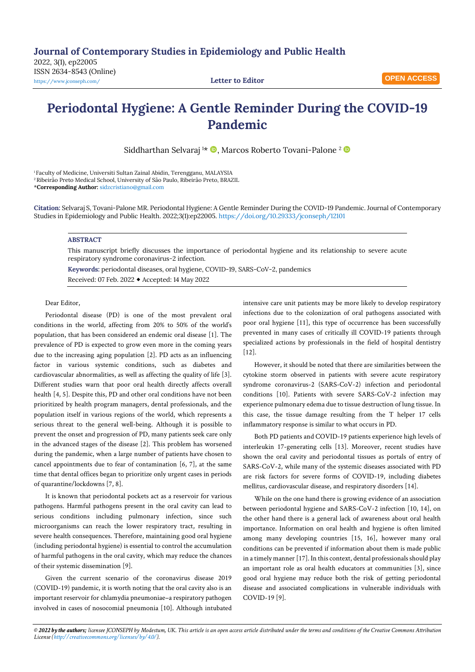2022, 3(1), ep22005 ISSN 2634-8543 (Online) <https://www.jconseph.com/> **Letter to Editor**

## **Periodontal Hygiene: A Gentle Reminder During the COVID-19 Pandemic**

Siddharthan Selvaraj <sup>1\*</sup> **D**, Marcos Roberto Tovani-Palone <sup>2</sup> **D** 

<sup>1</sup> Faculty of Medicine, Universiti Sultan Zainal Abidin, Terengganu, MALAYSIA <sup>2</sup> Ribeirão Preto Medical School, University of São Paulo, Ribeirão Preto, BRAZIL

\***Corresponding Author:** [sidzcristiano@gmail.com](mailto:sidzcristiano@gmail.com)

**Citation:** Selvaraj S, Tovani-Palone MR. Periodontal Hygiene: A Gentle Reminder During the COVID-19 Pandemic. Journal of Contemporary Studies in Epidemiology and Public Health. 2022;3(1):ep22005. <https://doi.org/10.29333/jconseph/12101>

## **ABSTRACT**

This manuscript briefly discusses the importance of periodontal hygiene and its relationship to severe acute respiratory syndrome coronavirus-2 infection.

**Keywords:** periodontal diseases, oral hygiene, COVID-19, SARS-CoV-2, pandemics Received: 07 Feb. 2022 Accepted: 14 May 2022

## Dear Editor,

Periodontal disease (PD) is one of the most prevalent oral conditions in the world, affecting from 20% to 50% of the world's population, that has been considered an endemic oral disease [1]. The prevalence of PD is expected to grow even more in the coming years due to the increasing aging population [2]. PD acts as an influencing factor in various systemic conditions, such as diabetes and cardiovascular abnormalities, as well as affecting the quality of life [3]. Different studies warn that poor oral health directly affects overall health [4, 5]. Despite this, PD and other oral conditions have not been prioritized by health program managers, dental professionals, and the population itself in various regions of the world, which represents a serious threat to the general well-being. Although it is possible to prevent the onset and progression of PD, many patients seek care only in the advanced stages of the disease [2]. This problem has worsened during the pandemic, when a large number of patients have chosen to cancel appointments due to fear of contamination [6, 7], at the same time that dental offices began to prioritize only urgent cases in periods of quarantine/lockdowns [7, 8].

It is known that periodontal pockets act as a reservoir for various pathogens. Harmful pathogens present in the oral cavity can lead to serious conditions including pulmonary infection, since such microorganisms can reach the lower respiratory tract, resulting in severe health consequences. Therefore, maintaining good oral hygiene (including periodontal hygiene) is essential to control the accumulation of harmful pathogens in the oral cavity, which may reduce the chances of their systemic dissemination [9].

Given the current scenario of the coronavirus disease 2019 (COVID-19) pandemic, it is worth noting that the oral cavity also is an important reservoir for chlamydia pneumoniae–a respiratory pathogen involved in cases of nosocomial pneumonia [10]. Although intubated intensive care unit patients may be more likely to develop respiratory infections due to the colonization of oral pathogens associated with poor oral hygiene [11], this type of occurrence has been successfully prevented in many cases of critically ill COVID-19 patients through specialized actions by professionals in the field of hospital dentistry  $[12]$ .

However, it should be noted that there are similarities between the cytokine storm observed in patients with severe acute respiratory syndrome coronavirus-2 (SARS-CoV-2) infection and periodontal conditions [10]. Patients with severe SARS-CoV-2 infection may experience pulmonary edema due to tissue destruction of lung tissue. In this case, the tissue damage resulting from the T helper 17 cells inflammatory response is similar to what occurs in PD.

Both PD patients and COVID-19 patients experience high levels of interleukin 17-generating cells [13]. Moreover, recent studies have shown the oral cavity and periodontal tissues as portals of entry of SARS-CoV-2, while many of the systemic diseases associated with PD are risk factors for severe forms of COVID-19, including diabetes mellitus, cardiovascular disease, and respiratory disorders [14].

While on the one hand there is growing evidence of an association between periodontal hygiene and SARS-CoV-2 infection [10, 14], on the other hand there is a general lack of awareness about oral health importance. Information on oral health and hygiene is often limited among many developing countries [15, 16], however many oral conditions can be prevented if information about them is made public in a timely manner [17]. In this context, dental professionals should play an important role as oral health educators at communities [3], since good oral hygiene may reduce both the risk of getting periodontal disease and associated complications in vulnerable individuals with COVID-19 [9].

© 2022 by the authors; licensee JCONSEPH by Modestum, UK. This article is an open access article distributed under the terms and conditions of the Creative Commons Attribution *License [\(http://creativecommons.org/licenses/by/4.0/\).](http://creativecommons.org/licenses/by/4.0/)*